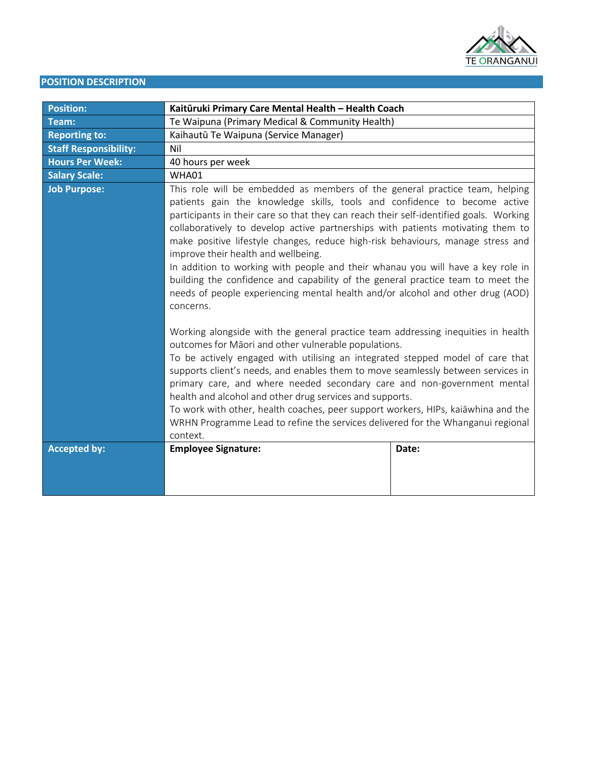

# **POSITION DESCRIPTION**

| <b>Position:</b>             | Kaitūruki Primary Care Mental Health - Health Coach                                                                                                                                                                                                                                                                                                                                                                                                                                                                                                                                                                                                                                                                                                                                                                                                                                                                                                                                                                                                                                                                                                                                                                                                                                |       |
|------------------------------|------------------------------------------------------------------------------------------------------------------------------------------------------------------------------------------------------------------------------------------------------------------------------------------------------------------------------------------------------------------------------------------------------------------------------------------------------------------------------------------------------------------------------------------------------------------------------------------------------------------------------------------------------------------------------------------------------------------------------------------------------------------------------------------------------------------------------------------------------------------------------------------------------------------------------------------------------------------------------------------------------------------------------------------------------------------------------------------------------------------------------------------------------------------------------------------------------------------------------------------------------------------------------------|-------|
| Team:                        | Te Waipuna (Primary Medical & Community Health)                                                                                                                                                                                                                                                                                                                                                                                                                                                                                                                                                                                                                                                                                                                                                                                                                                                                                                                                                                                                                                                                                                                                                                                                                                    |       |
| <b>Reporting to:</b>         | Kaihautū Te Waipuna (Service Manager)                                                                                                                                                                                                                                                                                                                                                                                                                                                                                                                                                                                                                                                                                                                                                                                                                                                                                                                                                                                                                                                                                                                                                                                                                                              |       |
| <b>Staff Responsibility:</b> | Nil                                                                                                                                                                                                                                                                                                                                                                                                                                                                                                                                                                                                                                                                                                                                                                                                                                                                                                                                                                                                                                                                                                                                                                                                                                                                                |       |
| <b>Hours Per Week:</b>       | 40 hours per week                                                                                                                                                                                                                                                                                                                                                                                                                                                                                                                                                                                                                                                                                                                                                                                                                                                                                                                                                                                                                                                                                                                                                                                                                                                                  |       |
| <b>Salary Scale:</b>         | WHA01                                                                                                                                                                                                                                                                                                                                                                                                                                                                                                                                                                                                                                                                                                                                                                                                                                                                                                                                                                                                                                                                                                                                                                                                                                                                              |       |
| <b>Job Purpose:</b>          | This role will be embedded as members of the general practice team, helping<br>patients gain the knowledge skills, tools and confidence to become active<br>participants in their care so that they can reach their self-identified goals. Working<br>collaboratively to develop active partnerships with patients motivating them to<br>make positive lifestyle changes, reduce high-risk behaviours, manage stress and<br>improve their health and wellbeing.<br>In addition to working with people and their whanau you will have a key role in<br>building the confidence and capability of the general practice team to meet the<br>needs of people experiencing mental health and/or alcohol and other drug (AOD)<br>concerns.<br>Working alongside with the general practice team addressing inequities in health<br>outcomes for Māori and other vulnerable populations.<br>To be actively engaged with utilising an integrated stepped model of care that<br>supports client's needs, and enables them to move seamlessly between services in<br>primary care, and where needed secondary care and non-government mental<br>health and alcohol and other drug services and supports.<br>To work with other, health coaches, peer support workers, HIPs, kaiāwhina and the |       |
| <b>Accepted by:</b>          | context.<br><b>Employee Signature:</b>                                                                                                                                                                                                                                                                                                                                                                                                                                                                                                                                                                                                                                                                                                                                                                                                                                                                                                                                                                                                                                                                                                                                                                                                                                             | Date: |
|                              |                                                                                                                                                                                                                                                                                                                                                                                                                                                                                                                                                                                                                                                                                                                                                                                                                                                                                                                                                                                                                                                                                                                                                                                                                                                                                    |       |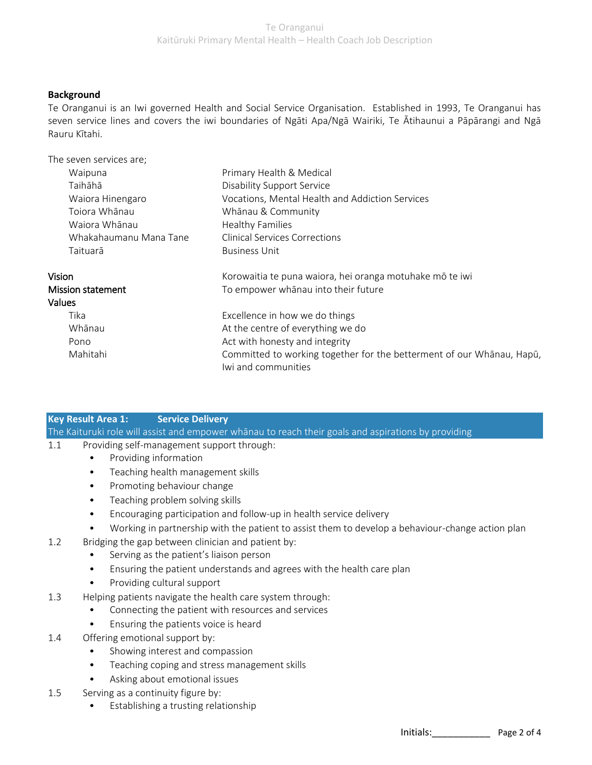# **Background**

Te Oranganui is an Iwi governed Health and Social Service Organisation. Established in 1993, Te Oranganui has seven service lines and covers the iwi boundaries of Ngāti Apa/Ngā Wairiki, Te Ātihaunui a Pāpārangi and Ngā Rauru Kītahi.

| The seven services are; |                                                                                              |  |
|-------------------------|----------------------------------------------------------------------------------------------|--|
| Waipuna                 | Primary Health & Medical                                                                     |  |
| Taihāhā                 | <b>Disability Support Service</b>                                                            |  |
| Waiora Hinengaro        | Vocations, Mental Health and Addiction Services                                              |  |
| Toiora Whānau           | Whānau & Community                                                                           |  |
| Waiora Whānau           | <b>Healthy Families</b>                                                                      |  |
| Whakahaumanu Mana Tane  | <b>Clinical Services Corrections</b>                                                         |  |
| Taituarā                | <b>Business Unit</b>                                                                         |  |
| Vision                  | Korowaitia te puna waiora, hei oranga motuhake mō te iwi                                     |  |
| Mission statement       | To empower whānau into their future                                                          |  |
| <b>Values</b>           |                                                                                              |  |
| Tika                    | Excellence in how we do things                                                               |  |
| Whānau                  | At the centre of everything we do                                                            |  |
| Pono                    | Act with honesty and integrity                                                               |  |
| Mahitahi                | Committed to working together for the betterment of our Whanau, Hapū,<br>Iwi and communities |  |

# **Key Result Area 1: Service Delivery**

The Kaituruki role will assist and empower whānau to reach their goals and aspirations by providing

- 1.1 Providing self-management support through:
	- Providing information
	- Teaching health management skills
	- Promoting behaviour change
	- Teaching problem solving skills
	- Encouraging participation and follow-up in health service delivery
	- Working in partnership with the patient to assist them to develop a behaviour-change action plan
- 1.2 Bridging the gap between clinician and patient by:
	- Serving as the patient's liaison person
	- Ensuring the patient understands and agrees with the health care plan
	- Providing cultural support
- 1.3 Helping patients navigate the health care system through:
	- Connecting the patient with resources and services
	- Ensuring the patients voice is heard
- 1.4 Offering emotional support by:
	- Showing interest and compassion
	- Teaching coping and stress management skills
	- Asking about emotional issues
- 1.5 Serving as a continuity figure by:
	- Establishing a trusting relationship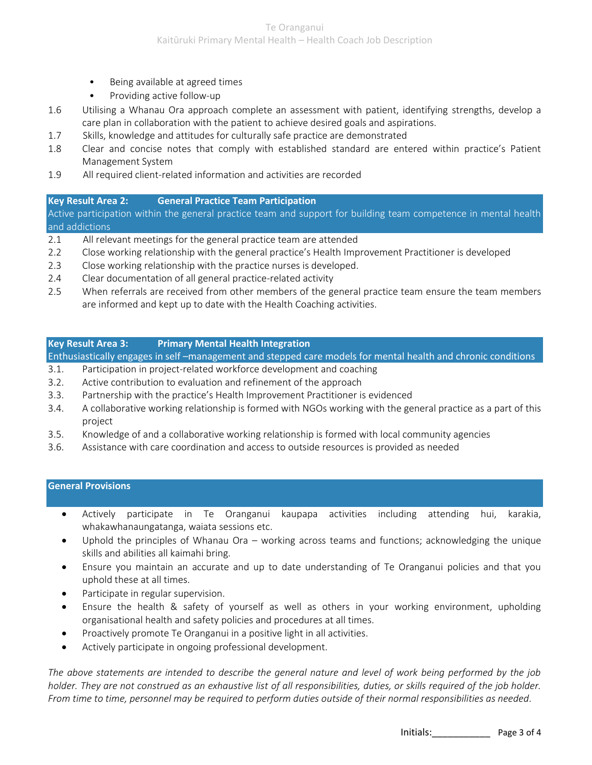- Being available at agreed times
- Providing active follow-up
- 1.6 Utilising a Whanau Ora approach complete an assessment with patient, identifying strengths, develop a care plan in collaboration with the patient to achieve desired goals and aspirations.
- 1.7 Skills, knowledge and attitudes for culturally safe practice are demonstrated
- 1.8 Clear and concise notes that comply with established standard are entered within practice's Patient Management System
- 1.9 All required client-related information and activities are recorded

### **Key Result Area 2: General Practice Team Participation**

Active participation within the general practice team and support for building team competence in mental health and addictions

- 2.1 All relevant meetings for the general practice team are attended
- 2.2 Close working relationship with the general practice's Health Improvement Practitioner is developed
- 2.3 Close working relationship with the practice nurses is developed.
- 2.4 Clear documentation of all general practice-related activity
- 2.5 When referrals are received from other members of the general practice team ensure the team members are informed and kept up to date with the Health Coaching activities.

### **Key Result Area 3: Primary Mental Health Integration**

Enthusiastically engages in self –management and stepped care models for mental health and chronic conditions

- 3.1. Participation in project-related workforce development and coaching
- 3.2. Active contribution to evaluation and refinement of the approach
- 3.3. Partnership with the practice's Health Improvement Practitioner is evidenced
- 3.4. A collaborative working relationship is formed with NGOs working with the general practice as a part of this project
- 3.5. Knowledge of and a collaborative working relationship is formed with local community agencies
- 3.6. Assistance with care coordination and access to outside resources is provided as needed

### **General Provisions**

- Actively participate in Te Oranganui kaupapa activities including attending hui, karakia, whakawhanaungatanga, waiata sessions etc.
- Uphold the principles of Whanau Ora working across teams and functions; acknowledging the unique skills and abilities all kaimahi bring.
- Ensure you maintain an accurate and up to date understanding of Te Oranganui policies and that you uphold these at all times.
- Participate in regular supervision.
- Ensure the health & safety of yourself as well as others in your working environment, upholding organisational health and safety policies and procedures at all times.
- Proactively promote Te Oranganui in a positive light in all activities.
- Actively participate in ongoing professional development.

*The above statements are intended to describe the general nature and level of work being performed by the job holder. They are not construed as an exhaustive list of all responsibilities, duties, or skills required of the job holder. From time to time, personnel may be required to perform duties outside of their normal responsibilities as needed.*